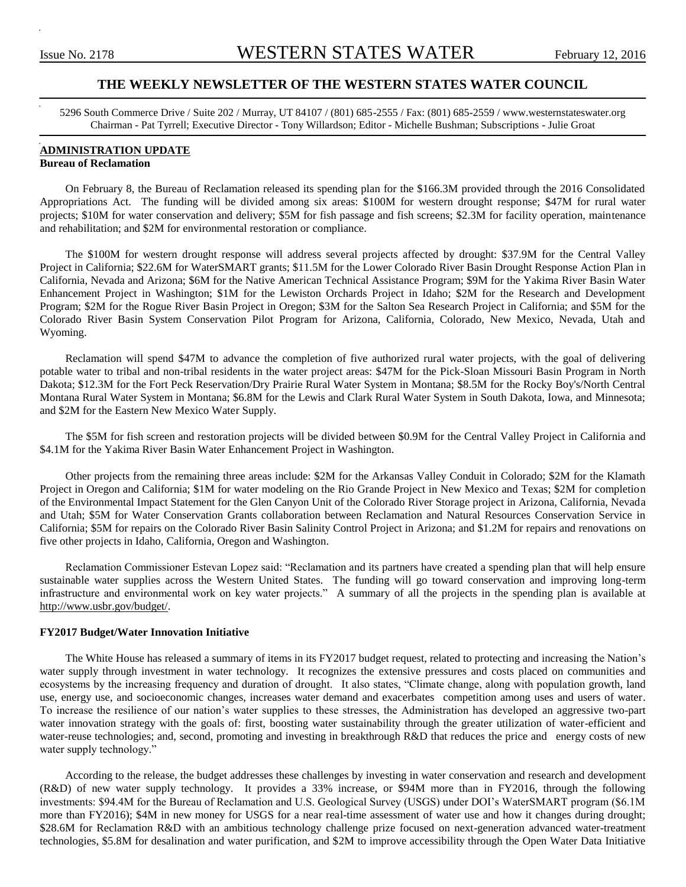# **THE WEEKLY NEWSLETTER OF THE WESTERN STATES WATER COUNCIL**

5296 South Commerce Drive / Suite 202 / Murray, UT 84107 / (801) 685-2555 / Fax: (801) 685-2559 / www.westernstateswater.org Chairman - Pat Tyrrell; Executive Director - Tony Willardson; Editor - Michelle Bushman; Subscriptions - Julie Groat

# **ADMINISTRATION UPDATE**

# **Bureau of Reclamation**

On February 8, the Bureau of Reclamation released its spending plan for the \$166.3M provided through the 2016 Consolidated Appropriations Act. The funding will be divided among six areas: \$100M for western drought response; \$47M for rural water projects; \$10M for water conservation and delivery; \$5M for fish passage and fish screens; \$2.3M for facility operation, maintenance and rehabilitation; and \$2M for environmental restoration or compliance.

The \$100M for western drought response will address several projects affected by drought: \$37.9M for the Central Valley Project in California; \$22.6M for WaterSMART grants; \$11.5M for the Lower Colorado River Basin Drought Response Action Plan in California, Nevada and Arizona; \$6M for the Native American Technical Assistance Program; \$9M for the Yakima River Basin Water Enhancement Project in Washington; \$1M for the Lewiston Orchards Project in Idaho; \$2M for the Research and Development Program; \$2M for the Rogue River Basin Project in Oregon; \$3M for the Salton Sea Research Project in California; and \$5M for the Colorado River Basin System Conservation Pilot Program for Arizona, California, Colorado, New Mexico, Nevada, Utah and Wyoming.

Reclamation will spend \$47M to advance the completion of five authorized rural water projects, with the goal of delivering potable water to tribal and non-tribal residents in the water project areas: \$47M for the Pick-Sloan Missouri Basin Program in North Dakota; \$12.3M for the Fort Peck Reservation/Dry Prairie Rural Water System in Montana; \$8.5M for the Rocky Boy's/North Central Montana Rural Water System in Montana; \$6.8M for the Lewis and Clark Rural Water System in South Dakota, Iowa, and Minnesota; and \$2M for the Eastern New Mexico Water Supply.

The \$5M for fish screen and restoration projects will be divided between \$0.9M for the Central Valley Project in California and \$4.1M for the Yakima River Basin Water Enhancement Project in Washington.

Other projects from the remaining three areas include: \$2M for the Arkansas Valley Conduit in Colorado; \$2M for the Klamath Project in Oregon and California; \$1M for water modeling on the Rio Grande Project in New Mexico and Texas; \$2M for completion of the Environmental Impact Statement for the Glen Canyon Unit of the Colorado River Storage project in Arizona, California, Nevada and Utah; \$5M for Water Conservation Grants collaboration between Reclamation and Natural Resources Conservation Service in California; \$5M for repairs on the Colorado River Basin Salinity Control Project in Arizona; and \$1.2M for repairs and renovations on five other projects in Idaho, California, Oregon and Washington.

Reclamation Commissioner Estevan Lopez said: "Reclamation and its partners have created a spending plan that will help ensure sustainable water supplies across the Western United States. The funding will go toward conservation and improving long-term infrastructure and environmental work on key water projects." A summary of all the projects in the spending plan is available at http://www.usbr.gov/budget/.

#### **FY2017 Budget/Water Innovation Initiative**

The White House has released a summary of items in its FY2017 budget request, related to protecting and increasing the Nation's water supply through investment in water technology. It recognizes the extensive pressures and costs placed on communities and ecosystems by the increasing frequency and duration of drought. It also states, "Climate change, along with population growth, land use, energy use, and socioeconomic changes, increases water demand and exacerbates competition among uses and users of water. To increase the resilience of our nation's water supplies to these stresses, the Administration has developed an aggressive two-part water innovation strategy with the goals of: first, boosting water sustainability through the greater utilization of water-efficient and water-reuse technologies; and, second, promoting and investing in breakthrough R&D that reduces the price and energy costs of new water supply technology."

According to the release, the budget addresses these challenges by investing in water conservation and research and development (R&D) of new water supply technology. It provides a 33% increase, or \$94M more than in FY2016, through the following investments: \$94.4M for the Bureau of Reclamation and U.S. Geological Survey (USGS) under DOI's WaterSMART program (\$6.1M more than FY2016); \$4M in new money for USGS for a near real-time assessment of water use and how it changes during drought; \$28.6M for Reclamation R&D with an ambitious technology challenge prize focused on next-generation advanced water-treatment technologies, \$5.8M for desalination and water purification, and \$2M to improve accessibility through the Open Water Data Initiative